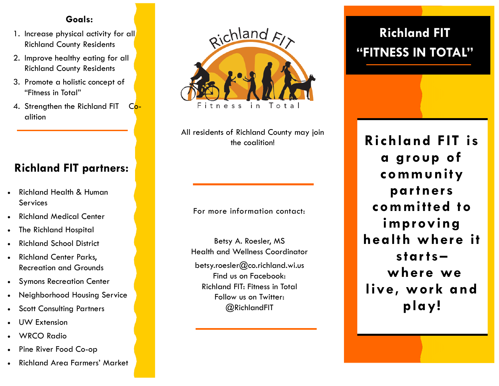#### **Goals:**

- 1. Increase physical activity for all Richland County Residents
- 2. Improve healthy eating for all Richland County Residents
- 3. Promote a holistic concept of "Fitness in Total"
- 4. Strengthen the Richland FIT Coalition

## **Richland FIT partners:**

- Richland Health & Human **Services**
- Richland Medical Center
- The Richland Hospital
- Richland School District
- Richland Center Parks, Recreation and Grounds
- Symons Recreation Center
- Neighborhood Housing Service
- Scott Consulting Partners
- UW Extension
- WRCO Radio
- Pine River Food Co-op
- Richland Area Farmers' Market



All residents of Richland County may join the coalition!

For more information contact:

Betsy A. Roesler, MS Health and Wellness Coordinator

betsy.roesler@co.richland.wi.us Find us on Facebook: Richland FIT: Fitness in Total Follow us on Twitter: @RichlandFIT

# **Richland FIT "FITNESS IN TOTAL"**

**Richland FIT is a group of community par tners committed to improving health where it star ts– where we live, work and play!**